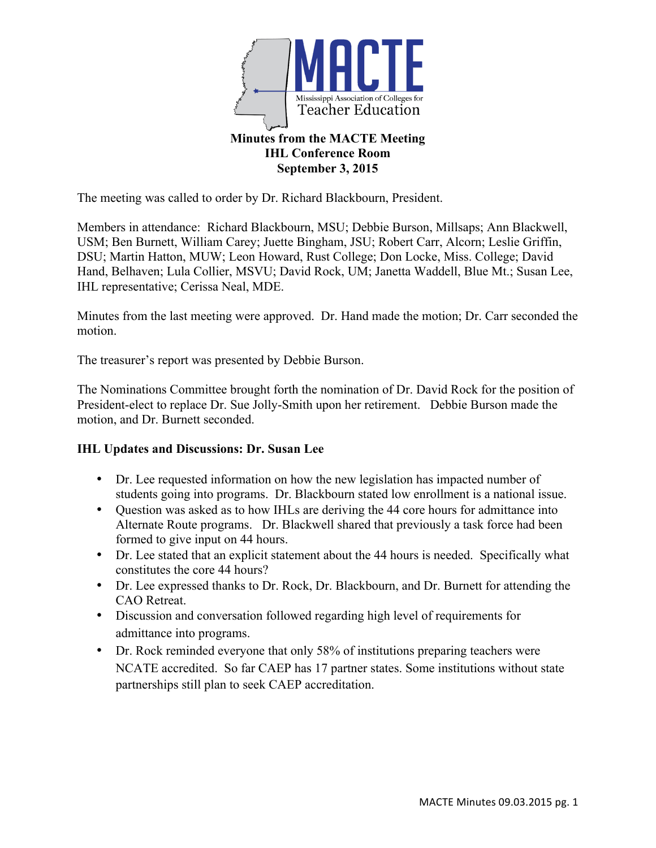

## **IHL Conference Room September 3, 2015**

The meeting was called to order by Dr. Richard Blackbourn, President.

Members in attendance: Richard Blackbourn, MSU; Debbie Burson, Millsaps; Ann Blackwell, USM; Ben Burnett, William Carey; Juette Bingham, JSU; Robert Carr, Alcorn; Leslie Griffin, DSU; Martin Hatton, MUW; Leon Howard, Rust College; Don Locke, Miss. College; David Hand, Belhaven; Lula Collier, MSVU; David Rock, UM; Janetta Waddell, Blue Mt.; Susan Lee, IHL representative; Cerissa Neal, MDE.

Minutes from the last meeting were approved. Dr. Hand made the motion; Dr. Carr seconded the motion.

The treasurer's report was presented by Debbie Burson.

The Nominations Committee brought forth the nomination of Dr. David Rock for the position of President-elect to replace Dr. Sue Jolly-Smith upon her retirement. Debbie Burson made the motion, and Dr. Burnett seconded.

## **IHL Updates and Discussions: Dr. Susan Lee**

- Dr. Lee requested information on how the new legislation has impacted number of students going into programs. Dr. Blackbourn stated low enrollment is a national issue.
- Ouestion was asked as to how IHLs are deriving the 44 core hours for admittance into Alternate Route programs. Dr. Blackwell shared that previously a task force had been formed to give input on 44 hours.
- Dr. Lee stated that an explicit statement about the 44 hours is needed. Specifically what constitutes the core 44 hours?
- Dr. Lee expressed thanks to Dr. Rock, Dr. Blackbourn, and Dr. Burnett for attending the CAO Retreat.
- Discussion and conversation followed regarding high level of requirements for admittance into programs.
- Dr. Rock reminded everyone that only 58% of institutions preparing teachers were NCATE accredited. So far CAEP has 17 partner states. Some institutions without state partnerships still plan to seek CAEP accreditation.